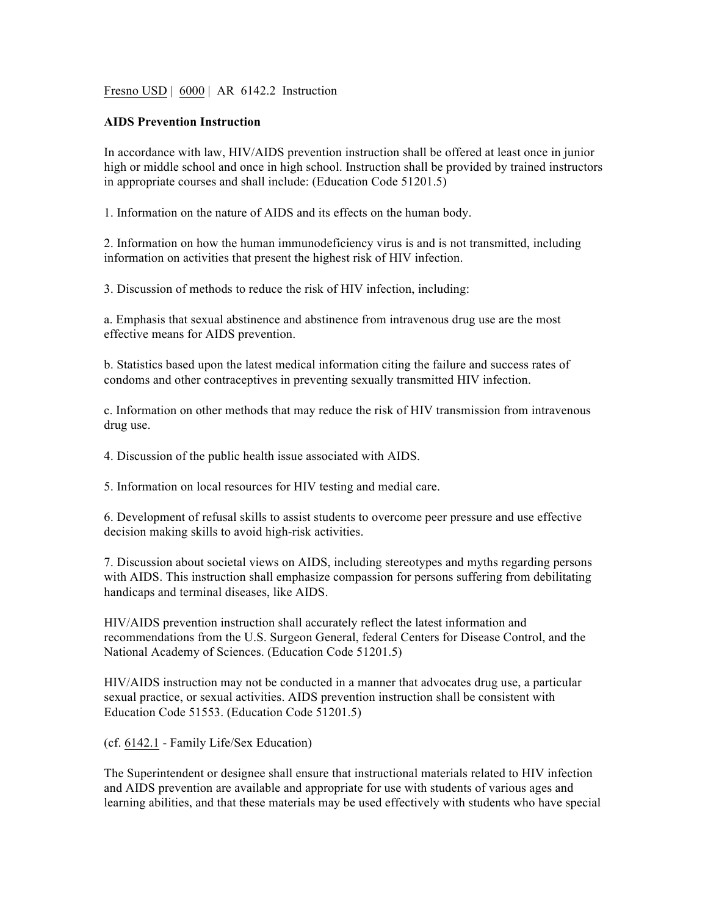Fresno USD | 6000 | AR 6142.2 Instruction

## **AIDS Prevention Instruction**

In accordance with law, HIV/AIDS prevention instruction shall be offered at least once in junior high or middle school and once in high school. Instruction shall be provided by trained instructors in appropriate courses and shall include: (Education Code 51201.5)

1. Information on the nature of AIDS and its effects on the human body.

2. Information on how the human immunodeficiency virus is and is not transmitted, including information on activities that present the highest risk of HIV infection.

3. Discussion of methods to reduce the risk of HIV infection, including:

a. Emphasis that sexual abstinence and abstinence from intravenous drug use are the most effective means for AIDS prevention.

b. Statistics based upon the latest medical information citing the failure and success rates of condoms and other contraceptives in preventing sexually transmitted HIV infection.

c. Information on other methods that may reduce the risk of HIV transmission from intravenous drug use.

4. Discussion of the public health issue associated with AIDS.

5. Information on local resources for HIV testing and medial care.

6. Development of refusal skills to assist students to overcome peer pressure and use effective decision making skills to avoid high-risk activities.

7. Discussion about societal views on AIDS, including stereotypes and myths regarding persons with AIDS. This instruction shall emphasize compassion for persons suffering from debilitating handicaps and terminal diseases, like AIDS.

HIV/AIDS prevention instruction shall accurately reflect the latest information and recommendations from the U.S. Surgeon General, federal Centers for Disease Control, and the National Academy of Sciences. (Education Code 51201.5)

HIV/AIDS instruction may not be conducted in a manner that advocates drug use, a particular sexual practice, or sexual activities. AIDS prevention instruction shall be consistent with Education Code 51553. (Education Code 51201.5)

(cf. 6142.1 - Family Life/Sex Education)

The Superintendent or designee shall ensure that instructional materials related to HIV infection and AIDS prevention are available and appropriate for use with students of various ages and learning abilities, and that these materials may be used effectively with students who have special